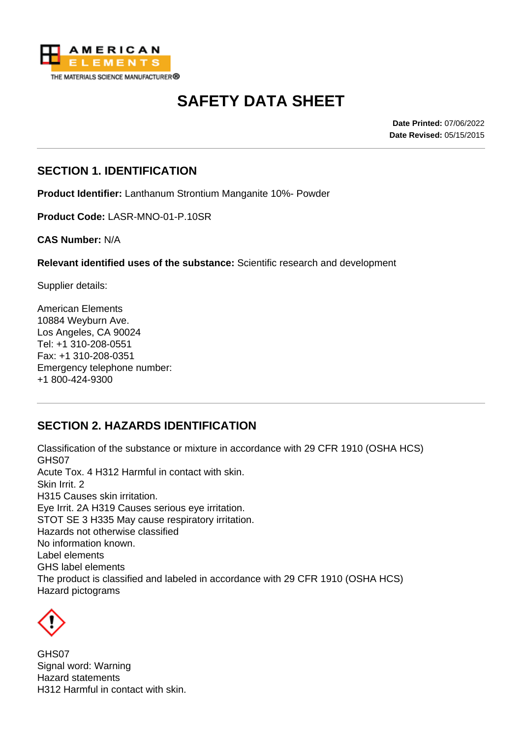

# **SAFETY DATA SHEET**

**Date Printed:** 07/06/2022 **Date Revised:** 05/15/2015

#### **SECTION 1. IDENTIFICATION**

**Product Identifier:** Lanthanum Strontium Manganite 10%- Powder

**Product Code:** LASR-MNO-01-P.10SR

**CAS Number:** N/A

**Relevant identified uses of the substance:** Scientific research and development

Supplier details:

American Elements 10884 Weyburn Ave. Los Angeles, CA 90024 Tel: +1 310-208-0551 Fax: +1 310-208-0351 Emergency telephone number: +1 800-424-9300

#### **SECTION 2. HAZARDS IDENTIFICATION**

Classification of the substance or mixture in accordance with 29 CFR 1910 (OSHA HCS) GHS07 Acute Tox. 4 H312 Harmful in contact with skin. Skin Irrit. 2 H315 Causes skin irritation. Eye Irrit. 2A H319 Causes serious eye irritation. STOT SE 3 H335 May cause respiratory irritation. Hazards not otherwise classified No information known. Label elements GHS label elements The product is classified and labeled in accordance with 29 CFR 1910 (OSHA HCS) Hazard pictograms



GHS07 Signal word: Warning Hazard statements H312 Harmful in contact with skin.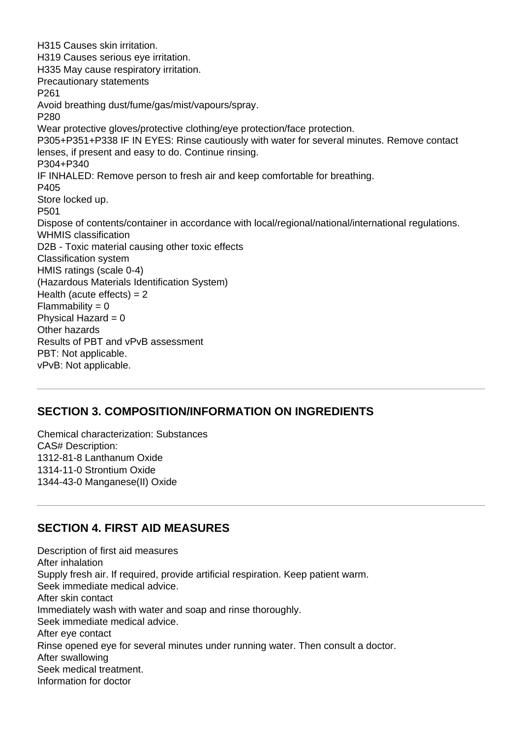H315 Causes skin irritation. H319 Causes serious eye irritation. H335 May cause respiratory irritation. Precautionary statements P261 Avoid breathing dust/fume/gas/mist/vapours/spray. P280 Wear protective gloves/protective clothing/eye protection/face protection. P305+P351+P338 IF IN EYES: Rinse cautiously with water for several minutes. Remove contact lenses, if present and easy to do. Continue rinsing. P304+P340 IF INHALED: Remove person to fresh air and keep comfortable for breathing. P405 Store locked up. P501 Dispose of contents/container in accordance with local/regional/national/international regulations. WHMIS classification D2B - Toxic material causing other toxic effects Classification system HMIS ratings (scale 0-4) (Hazardous Materials Identification System) Health (acute effects)  $= 2$  $Flammability = 0$ Physical Hazard  $= 0$ Other hazards Results of PBT and vPvB assessment PBT: Not applicable. vPvB: Not applicable.

#### **SECTION 3. COMPOSITION/INFORMATION ON INGREDIENTS**

Chemical characterization: Substances CAS# Description: 1312-81-8 Lanthanum Oxide 1314-11-0 Strontium Oxide 1344-43-0 Manganese(II) Oxide

#### **SECTION 4. FIRST AID MEASURES**

Description of first aid measures After inhalation Supply fresh air. If required, provide artificial respiration. Keep patient warm. Seek immediate medical advice. After skin contact Immediately wash with water and soap and rinse thoroughly. Seek immediate medical advice. After eye contact Rinse opened eye for several minutes under running water. Then consult a doctor. After swallowing Seek medical treatment. Information for doctor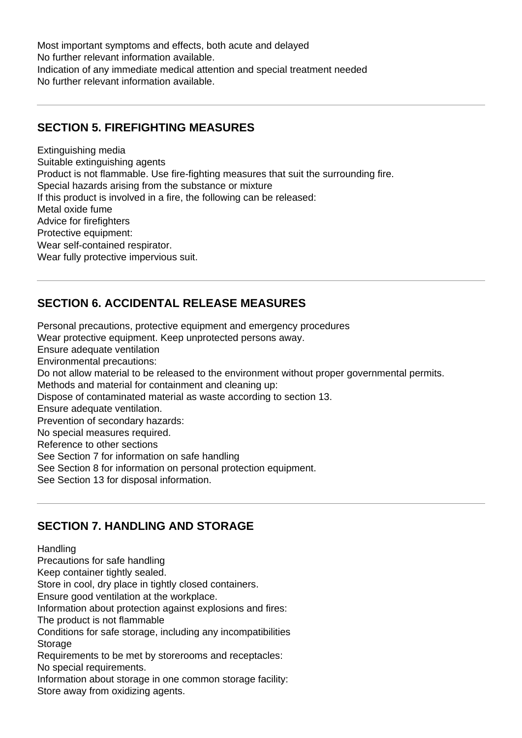Most important symptoms and effects, both acute and delayed No further relevant information available. Indication of any immediate medical attention and special treatment needed No further relevant information available.

### **SECTION 5. FIREFIGHTING MEASURES**

Extinguishing media Suitable extinguishing agents Product is not flammable. Use fire-fighting measures that suit the surrounding fire. Special hazards arising from the substance or mixture If this product is involved in a fire, the following can be released: Metal oxide fume Advice for firefighters Protective equipment: Wear self-contained respirator. Wear fully protective impervious suit.

## **SECTION 6. ACCIDENTAL RELEASE MEASURES**

Personal precautions, protective equipment and emergency procedures Wear protective equipment. Keep unprotected persons away. Ensure adequate ventilation Environmental precautions: Do not allow material to be released to the environment without proper governmental permits. Methods and material for containment and cleaning up: Dispose of contaminated material as waste according to section 13. Ensure adequate ventilation. Prevention of secondary hazards: No special measures required. Reference to other sections See Section 7 for information on safe handling See Section 8 for information on personal protection equipment. See Section 13 for disposal information.

#### **SECTION 7. HANDLING AND STORAGE**

#### Handling

Precautions for safe handling

Keep container tightly sealed.

Store in cool, dry place in tightly closed containers.

Ensure good ventilation at the workplace.

Information about protection against explosions and fires:

The product is not flammable

Conditions for safe storage, including any incompatibilities **Storage** 

Requirements to be met by storerooms and receptacles: No special requirements.

Information about storage in one common storage facility: Store away from oxidizing agents.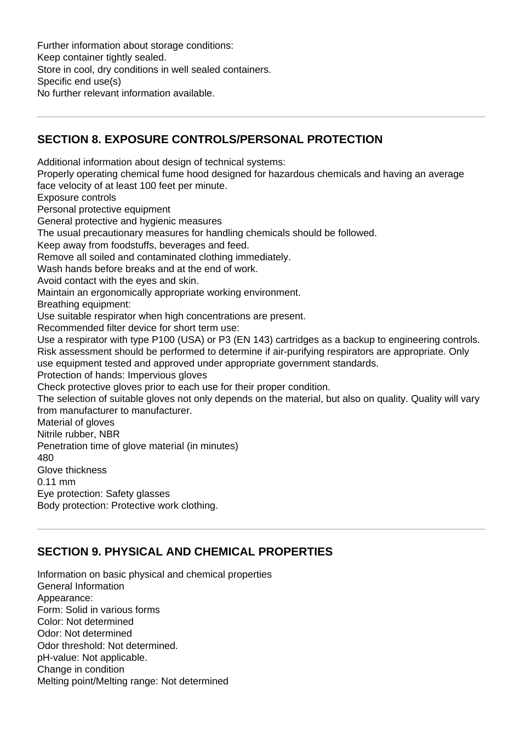Further information about storage conditions: Keep container tightly sealed. Store in cool, dry conditions in well sealed containers. Specific end use(s) No further relevant information available.

#### **SECTION 8. EXPOSURE CONTROLS/PERSONAL PROTECTION**

Additional information about design of technical systems: Properly operating chemical fume hood designed for hazardous chemicals and having an average face velocity of at least 100 feet per minute. Exposure controls Personal protective equipment General protective and hygienic measures The usual precautionary measures for handling chemicals should be followed. Keep away from foodstuffs, beverages and feed. Remove all soiled and contaminated clothing immediately. Wash hands before breaks and at the end of work. Avoid contact with the eyes and skin. Maintain an ergonomically appropriate working environment. Breathing equipment: Use suitable respirator when high concentrations are present. Recommended filter device for short term use: Use a respirator with type P100 (USA) or P3 (EN 143) cartridges as a backup to engineering controls. Risk assessment should be performed to determine if air-purifying respirators are appropriate. Only use equipment tested and approved under appropriate government standards. Protection of hands: Impervious gloves Check protective gloves prior to each use for their proper condition. The selection of suitable gloves not only depends on the material, but also on quality. Quality will vary from manufacturer to manufacturer. Material of gloves Nitrile rubber, NBR Penetration time of glove material (in minutes) 480 Glove thickness 0.11 mm Eye protection: Safety glasses Body protection: Protective work clothing.

## **SECTION 9. PHYSICAL AND CHEMICAL PROPERTIES**

Information on basic physical and chemical properties General Information Appearance: Form: Solid in various forms Color: Not determined Odor: Not determined Odor threshold: Not determined. pH-value: Not applicable. Change in condition Melting point/Melting range: Not determined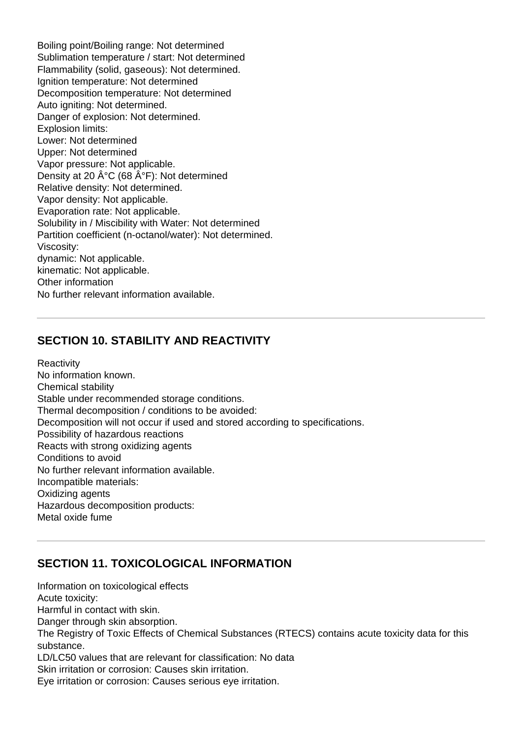Boiling point/Boiling range: Not determined Sublimation temperature / start: Not determined Flammability (solid, gaseous): Not determined. Ignition temperature: Not determined Decomposition temperature: Not determined Auto igniting: Not determined. Danger of explosion: Not determined. Explosion limits: Lower: Not determined Upper: Not determined Vapor pressure: Not applicable. Density at 20  $\hat{A}^{\circ}C$  (68  $\hat{A}^{\circ}F$ ): Not determined Relative density: Not determined. Vapor density: Not applicable. Evaporation rate: Not applicable. Solubility in / Miscibility with Water: Not determined Partition coefficient (n-octanol/water): Not determined. Viscosity: dynamic: Not applicable. kinematic: Not applicable. Other information No further relevant information available.

#### **SECTION 10. STABILITY AND REACTIVITY**

**Reactivity** No information known. Chemical stability Stable under recommended storage conditions. Thermal decomposition / conditions to be avoided: Decomposition will not occur if used and stored according to specifications. Possibility of hazardous reactions Reacts with strong oxidizing agents Conditions to avoid No further relevant information available. Incompatible materials: Oxidizing agents Hazardous decomposition products: Metal oxide fume

#### **SECTION 11. TOXICOLOGICAL INFORMATION**

Information on toxicological effects Acute toxicity: Harmful in contact with skin. Danger through skin absorption. The Registry of Toxic Effects of Chemical Substances (RTECS) contains acute toxicity data for this substance. LD/LC50 values that are relevant for classification: No data Skin irritation or corrosion: Causes skin irritation. Eye irritation or corrosion: Causes serious eye irritation.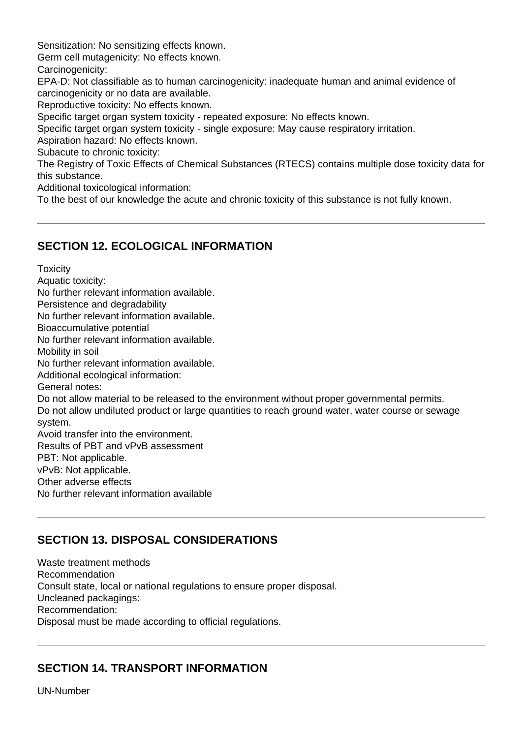Sensitization: No sensitizing effects known.

Germ cell mutagenicity: No effects known.

Carcinogenicity:

EPA-D: Not classifiable as to human carcinogenicity: inadequate human and animal evidence of carcinogenicity or no data are available.

Reproductive toxicity: No effects known.

Specific target organ system toxicity - repeated exposure: No effects known.

Specific target organ system toxicity - single exposure: May cause respiratory irritation.

Aspiration hazard: No effects known.

Subacute to chronic toxicity:

The Registry of Toxic Effects of Chemical Substances (RTECS) contains multiple dose toxicity data for this substance.

Additional toxicological information:

To the best of our knowledge the acute and chronic toxicity of this substance is not fully known.

#### **SECTION 12. ECOLOGICAL INFORMATION**

**Toxicity** 

Aquatic toxicity: No further relevant information available. Persistence and degradability No further relevant information available. Bioaccumulative potential No further relevant information available. Mobility in soil No further relevant information available. Additional ecological information: General notes: Do not allow material to be released to the environment without proper governmental permits. Do not allow undiluted product or large quantities to reach ground water, water course or sewage system. Avoid transfer into the environment. Results of PBT and vPvB assessment PBT: Not applicable. vPvB: Not applicable. Other adverse effects No further relevant information available

## **SECTION 13. DISPOSAL CONSIDERATIONS**

Waste treatment methods Recommendation Consult state, local or national regulations to ensure proper disposal. Uncleaned packagings: Recommendation: Disposal must be made according to official regulations.

#### **SECTION 14. TRANSPORT INFORMATION**

UN-Number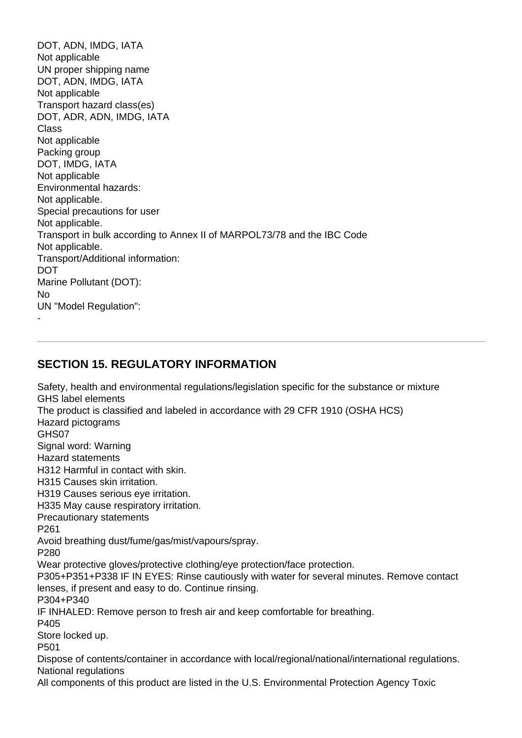DOT, ADN, IMDG, IATA Not applicable UN proper shipping name DOT, ADN, IMDG, IATA Not applicable Transport hazard class(es) DOT, ADR, ADN, IMDG, IATA Class Not applicable Packing group DOT, IMDG, IATA Not applicable Environmental hazards: Not applicable. Special precautions for user Not applicable. Transport in bulk according to Annex II of MARPOL73/78 and the IBC Code Not applicable. Transport/Additional information: DOT Marine Pollutant (DOT): No UN "Model Regulation": -

#### **SECTION 15. REGULATORY INFORMATION**

Safety, health and environmental regulations/legislation specific for the substance or mixture GHS label elements The product is classified and labeled in accordance with 29 CFR 1910 (OSHA HCS) Hazard pictograms GHS07 Signal word: Warning Hazard statements H312 Harmful in contact with skin. H315 Causes skin irritation. H319 Causes serious eye irritation. H335 May cause respiratory irritation. Precautionary statements P261 Avoid breathing dust/fume/gas/mist/vapours/spray. P280 Wear protective gloves/protective clothing/eye protection/face protection. P305+P351+P338 IF IN EYES: Rinse cautiously with water for several minutes. Remove contact lenses, if present and easy to do. Continue rinsing. P304+P340 IF INHALED: Remove person to fresh air and keep comfortable for breathing. P405 Store locked up. P501 Dispose of contents/container in accordance with local/regional/national/international regulations. National regulations

All components of this product are listed in the U.S. Environmental Protection Agency Toxic